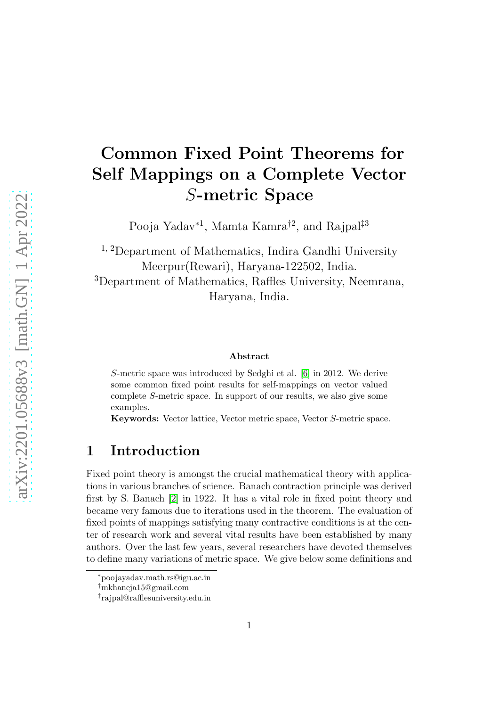# Common Fixed Point Theorems for Self Mappings on a Complete Vector S-metric Space

Pooja Yadav<sup>\*1</sup>, Mamta Kamra<sup>†2</sup>, and Rajpal<sup>‡3</sup>

<sup>1, 2</sup>Department of Mathematics, Indira Gandhi University Meerpur(Rewari), Haryana-122502, India. <sup>3</sup>Department of Mathematics, Raffles University, Neemrana, Haryana, India.

#### Abstract

S-metric space was introduced by Sedghi et al. [\[6\]](#page-14-0) in 2012. We derive some common fixed point results for self-mappings on vector valued complete S-metric space. In support of our results, we also give some examples.

Keywords: Vector lattice, Vector metric space, Vector S-metric space.

### 1 Introduction

Fixed point theory is amongst the crucial mathematical theory with applications in various branches of science. Banach contraction principle was derived first by S. Banach [\[2\]](#page-14-1) in 1922. It has a vital role in fixed point theory and became very famous due to iterations used in the theorem. The evaluation of fixed points of mappings satisfying many contractive conditions is at the center of research work and several vital results have been established by many authors. Over the last few years, several researchers have devoted themselves to define many variations of metric space. We give below some definitions and

<sup>∗</sup>poojayadav.math.rs@igu.ac.in

<sup>†</sup>mkhaneja15@gmail.com

<sup>‡</sup> rajpal@rafflesuniversity.edu.in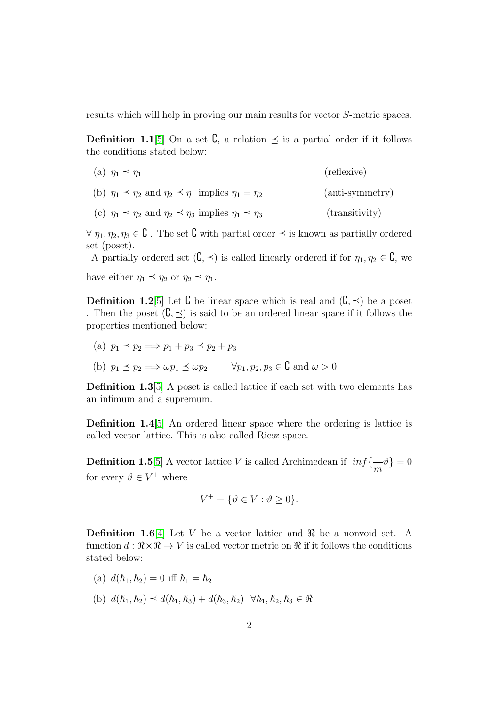results which will help in proving our main results for vector S-metric spaces.

**Definition 1.1**[\[5\]](#page-14-2) On a set  $\mathbf{C}$ , a relation  $\preceq$  is a partial order if it follows the conditions stated below:

- (a)  $\eta_1 \prec \eta_1$  (reflexive)
- (b)  $\eta_1 \preceq \eta_2$  and  $\eta_2 \preceq \eta_1$  implies  $\eta_1 = \eta_2$  (anti-symmetry)
- (c)  $\eta_1 \preceq \eta_2$  and  $\eta_2 \preceq \eta_3$  implies  $\eta_1 \preceq \eta_3$  (transitivity)

 $\forall \eta_1, \eta_2, \eta_3 \in \mathcal{C}$ . The set  $\mathcal{C}$  with partial order  $\preceq$  is known as partially ordered set (poset).

A partially ordered set  $(\mathcal{C}, \preceq)$  is called linearly ordered if for  $\eta_1, \eta_2 \in \mathcal{C}$ , we have either  $\eta_1 \preceq \eta_2$  or  $\eta_2 \preceq \eta_1$ .

**Definition 1.2**[\[5\]](#page-14-2) Let  $\complement$  be linear space which is real and  $(\complement, \prec)$  be a poset . Then the poset  $(\mathcal{C}, \prec)$  is said to be an ordered linear space if it follows the properties mentioned below:

- (a)  $p_1 \prec p_2 \Longrightarrow p_1 + p_3 \prec p_2 + p_3$
- (b)  $p_1 \preceq p_2 \Longrightarrow \omega p_1 \preceq \omega p_2 \quad \forall p_1, p_2, p_3 \in \mathbb{C}$  and  $\omega > 0$

Definition 1.3[\[5\]](#page-14-2) A poset is called lattice if each set with two elements has an infimum and a supremum.

Definition 1.4[\[5\]](#page-14-2) An ordered linear space where the ordering is lattice is called vector lattice. This is also called Riesz space.

**Definition 1.5**[\[5\]](#page-14-2) A vector lattice V is called Archimedean if  $inf\{\frac{1}{\epsilon}\}$  $\frac{1}{m}\vartheta\}=0$ for every  $\vartheta \in V^+$  where

$$
V^+ = \{ \vartheta \in V : \vartheta \ge 0 \}.
$$

**Definition 1.6**[\[4\]](#page-14-3) Let V be a vector lattice and  $\Re$  be a nonvoid set. A function  $d : \mathbb{R} \times \mathbb{R} \to V$  is called vector metric on  $\mathbb{R}$  if it follows the conditions stated below:

- (a)  $d(\hbar_1, \hbar_2) = 0$  iff  $\hbar_1 = \hbar_2$
- (b)  $d(h_1, h_2) \prec d(h_1, h_3) + d(h_3, h_2) \quad \forall h_1, h_2, h_3 \in \Re$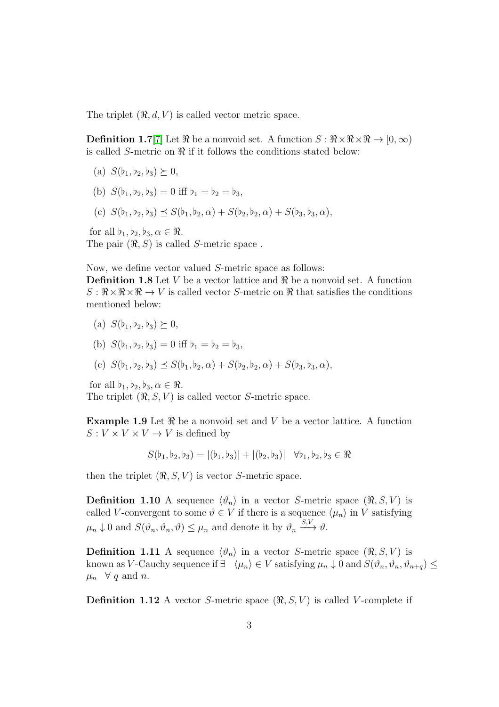The triplet  $(\Re, d, V)$  is called vector metric space.

**Definition 1.7**[\[7\]](#page-14-4) Let  $\Re$  be a nonvoid set. A function  $S : \Re \times \Re \times \Re \to [0, \infty)$ is called  $S$ -metric on  $\Re$  if it follows the conditions stated below:

- (a)  $S(b_1, b_2, b_3) \succeq 0$ ,
- (b)  $S(b_1, b_2, b_3) = 0$  iff  $b_1 = b_2 = b_3$ ,
- (c)  $S(\flat_1, \flat_2, \flat_3) \preceq S(\flat_1, \flat_2, \alpha) + S(\flat_2, \flat_2, \alpha) + S(\flat_3, \flat_3, \alpha),$

for all  $\flat_1, \flat_2, \flat_3, \alpha \in \Re$ . The pair  $(\Re, S)$  is called S-metric space.

Now, we define vector valued S-metric space as follows:

**Definition 1.8** Let V be a vector lattice and  $\Re$  be a nonvoid set. A function  $S: \mathbb{R} \times \mathbb{R} \times \mathbb{R} \to V$  is called vector S-metric on  $\mathbb{R}$  that satisfies the conditions mentioned below:

(a) 
$$
S(b_1, b_2, b_3) \succeq 0
$$
,

(b) 
$$
S(b_1, b_2, b_3) = 0
$$
 iff  $b_1 = b_2 = b_3$ ,

(c) 
$$
S(b_1, b_2, b_3) \preceq S(b_1, b_2, \alpha) + S(b_2, b_2, \alpha) + S(b_3, b_3, \alpha)
$$
,

for all  $\flat_1, \flat_2, \flat_3, \alpha \in \Re$ .

The triplet  $(\Re, S, V)$  is called vector S-metric space.

**Example 1.9** Let  $\Re$  be a nonvoid set and V be a vector lattice. A function  $S: V \times V \times V \rightarrow V$  is defined by

$$
S(b_1, b_2, b_3) = |(b_1, b_3)| + |(b_2, b_3)| \quad \forall b_1, b_2, b_3 \in \Re
$$

then the triplet  $(\Re, S, V)$  is vector S-metric space.

**Definition 1.10** A sequence  $\langle \vartheta_n \rangle$  in a vector S-metric space  $(\Re, S, V)$  is called V-convergent to some  $\vartheta \in V$  if there is a sequence  $\langle \mu_n \rangle$  in V satisfying  $\mu_n \downarrow 0$  and  $S(\vartheta_n, \vartheta_n, \vartheta) \leq \mu_n$  and denote it by  $\vartheta_n \xrightarrow{S,V} \vartheta$ .

**Definition 1.11** A sequence  $\langle \vartheta_n \rangle$  in a vector S-metric space  $(\Re, S, V)$  is known as V-Cauchy sequence if  $\exists \langle \mu_n \rangle \in V$  satisfying  $\mu_n \downarrow 0$  and  $S(\vartheta_n, \vartheta_n, \vartheta_{n+q}) \leq$  $\mu_n \quad \forall \ q \text{ and } n.$ 

**Definition 1.12** A vector S-metric space  $(\Re, S, V)$  is called V-complete if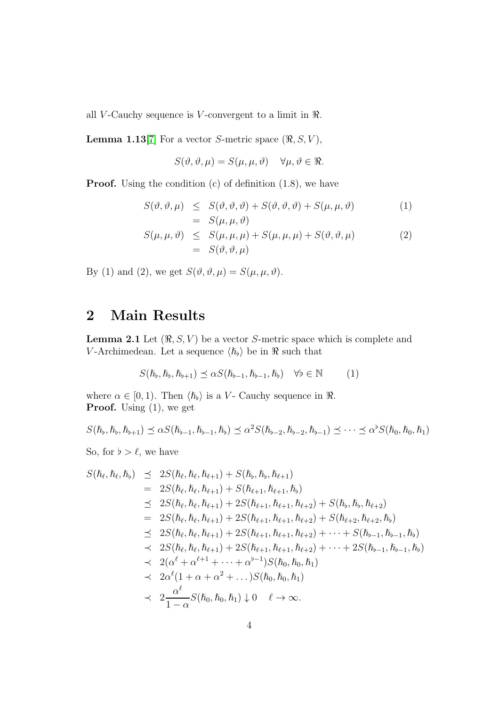all V-Cauchy sequence is V-convergent to a limit in  $\Re$ .

**Lemma 1.13**[\[7\]](#page-14-4) For a vector S-metric space  $(\Re, S, V)$ ,

$$
S(\vartheta, \vartheta, \mu) = S(\mu, \mu, \vartheta) \quad \forall \mu, \vartheta \in \Re.
$$

**Proof.** Using the condition  $(c)$  of definition  $(1.8)$ , we have

$$
S(\vartheta, \vartheta, \mu) \leq S(\vartheta, \vartheta, \vartheta) + S(\vartheta, \vartheta, \vartheta) + S(\mu, \mu, \vartheta) = S(\mu, \mu, \vartheta)
$$
 (1)

$$
S(\mu, \mu, \vartheta) \leq S(\mu, \mu, \mu) + S(\mu, \mu, \mu) + S(\vartheta, \vartheta, \mu)
$$
  
= 
$$
S(\vartheta, \vartheta, \mu)
$$
 (2)

By (1) and (2), we get  $S(\vartheta, \vartheta, \mu) = S(\mu, \mu, \vartheta)$ .

### 2 Main Results

**Lemma 2.1** Let  $(\Re, S, V)$  be a vector S-metric space which is complete and V-Archimedean. Let a sequence  $\langle h_{\flat} \rangle$  be in  $\Re$  such that

$$
S(\hbar_{\flat}, \hbar_{\flat}, \hbar_{\flat+1}) \preceq \alpha S(\hbar_{\flat-1}, \hbar_{\flat-1}, \hbar_{\flat}) \quad \forall \flat \in \mathbb{N} \tag{1}
$$

where  $\alpha \in [0, 1)$ . Then  $\langle \hbar_{\phi} \rangle$  is a V- Cauchy sequence in  $\Re$ . **Proof.** Using  $(1)$ , we get

$$
S(\hbar_{\flat},\hbar_{\flat},\hbar_{\flat+1}) \preceq \alpha S(\hbar_{\flat-1},\hbar_{\flat-1},\hbar_{\flat}) \preceq \alpha^2 S(\hbar_{\flat-2},\hbar_{\flat-2},\hbar_{\flat-1}) \preceq \cdots \preceq \alpha^{\flat} S(\hbar_0,\hbar_0,\hbar_1)
$$

So, for  $\flat > \ell$ , we have

$$
S(\hbar_{\ell}, \hbar_{\ell}, \hbar_{\nu}) \preceq 2S(\hbar_{\ell}, \hbar_{\ell}, \hbar_{\ell+1}) + S(\hbar_{\nu}, \hbar_{\nu}, \hbar_{\ell+1})
$$
  
\n
$$
= 2S(\hbar_{\ell}, \hbar_{\ell}, \hbar_{\ell+1}) + S(\hbar_{\ell+1}, \hbar_{\ell+1}, \hbar_{\nu})
$$
  
\n
$$
\preceq 2S(\hbar_{\ell}, \hbar_{\ell}, \hbar_{\ell+1}) + 2S(\hbar_{\ell+1}, \hbar_{\ell+1}, \hbar_{\ell+2}) + S(\hbar_{\nu}, \hbar_{\nu}, \hbar_{\ell+2})
$$
  
\n
$$
= 2S(\hbar_{\ell}, \hbar_{\ell}, \hbar_{\ell+1}) + 2S(\hbar_{\ell+1}, \hbar_{\ell+1}, \hbar_{\ell+2}) + S(\hbar_{\ell+2}, \hbar_{\ell+2}, \hbar_{\nu})
$$
  
\n
$$
\preceq 2S(\hbar_{\ell}, \hbar_{\ell}, \hbar_{\ell+1}) + 2S(\hbar_{\ell+1}, \hbar_{\ell+1}, \hbar_{\ell+2}) + \cdots + S(\hbar_{b-1}, \hbar_{b-1}, \hbar_{b})
$$
  
\n
$$
\preceq 2S(\hbar_{\ell}, \hbar_{\ell}, \hbar_{\ell+1}) + 2S(\hbar_{\ell+1}, \hbar_{\ell+1}, \hbar_{\ell+2}) + \cdots + 2S(\hbar_{b-1}, \hbar_{b-1}, \hbar_{b})
$$
  
\n
$$
\preceq 2(\alpha^{\ell} + \alpha^{\ell+1} + \cdots + \alpha^{b-1})S(\hbar_{0}, \hbar_{0}, \hbar_{1})
$$
  
\n
$$
\preceq 2\alpha^{\ell}(1 + \alpha + \alpha^2 + \cdots)S(\hbar_{0}, \hbar_{0}, \hbar_{1})
$$
  
\n
$$
\preceq \frac{\alpha^{\ell}}{1 - \alpha}S(\hbar_{0}, \hbar_{0}, \hbar_{1}) \downarrow 0 \quad \ell \to \infty.
$$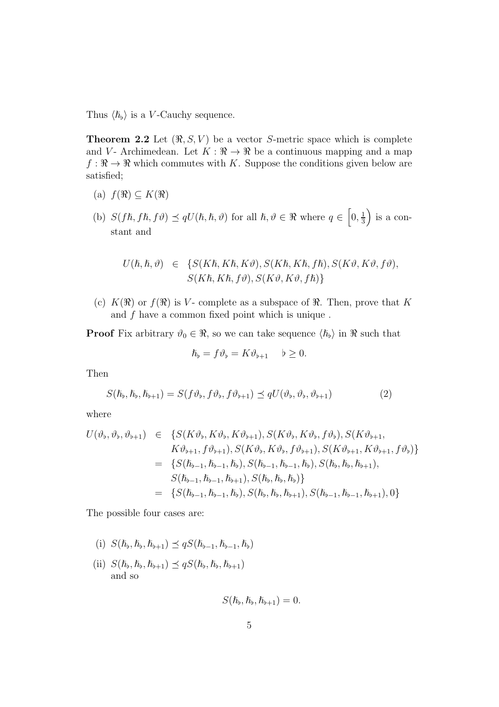Thus  $\langle \hbar_{\mathfrak{b}} \rangle$  is a V-Cauchy sequence.

**Theorem 2.2** Let  $(\Re, S, V)$  be a vector S-metric space which is complete and V - Archimedean. Let  $K : \mathbb{R} \to \mathbb{R}$  be a continuous mapping and a map  $f : \mathbb{R} \to \mathbb{R}$  which commutes with K. Suppose the conditions given below are satisfied;

- (a)  $f(\Re) \subseteq K(\Re)$
- (b)  $S(f\hslash, f\hslash, f\vartheta) \preceq qU(\hslash, \hslash, \vartheta)$  for all  $\hslash, \vartheta \in \Re$  where  $q \in [0, \frac{1}{3}]$  $\frac{1}{3}$  is a constant and

$$
U(\hbar, \hbar, \vartheta) \in \{S(K\hbar, K\hbar, K\vartheta), S(K\hbar, K\hbar, f\hbar), S(K\vartheta, K\vartheta, f\vartheta),S(K\hbar, K\hbar, f\vartheta), S(K\vartheta, K\vartheta, f\hbar)\}
$$

(c)  $K(\mathfrak{R})$  or  $f(\mathfrak{R})$  is V- complete as a subspace of  $\mathfrak{R}$ . Then, prove that K and  $f$  have a common fixed point which is unique.

**Proof** Fix arbitrary  $\vartheta_0 \in \mathbb{R}$ , so we can take sequence  $\langle \hbar_{\varphi} \rangle$  in  $\mathbb{R}$  such that

$$
\hslash_{\flat} = f \vartheta_{\flat} = K \vartheta_{\flat + 1} \quad \flat \geq 0.
$$

Then

$$
S(\hbar_{\flat}, \hbar_{\flat}, \hbar_{\flat+1}) = S(f\vartheta_{\flat}, f\vartheta_{\flat}, f\vartheta_{\flat+1}) \leq qU(\vartheta_{\flat}, \vartheta_{\flat}, \vartheta_{\flat+1})
$$
\n(2)

where

$$
U(\vartheta_{b}, \vartheta_{b}, \vartheta_{b+1}) \in \{S(K\vartheta_{b}, K\vartheta_{b}, K\vartheta_{b+1}), S(K\vartheta_{b}, K\vartheta_{b}, f\vartheta_{b}), S(K\vartheta_{b+1}, K\vartheta_{b+1}, f\vartheta_{b+1}), S(K\vartheta_{b}, K\vartheta_{b}, f\vartheta_{b+1}), S(K\vartheta_{b+1}, K\vartheta_{b+1}, f\vartheta_{b})\}
$$
  
\n
$$
= \{S(\hbar_{b-1}, \hbar_{b-1}, \hbar_b), S(\hbar_{b-1}, \hbar_{b-1}, \hbar_b), S(\hbar_b, \hbar_b, h_{b+1}),
$$
  
\n
$$
S(\hbar_{b-1}, \hbar_{b-1}, \hbar_{b+1}), S(\hbar_b, \hbar_b, h_b)\}
$$
  
\n
$$
= \{S(\hbar_{b-1}, \hbar_{b-1}, \hbar_b), S(\hbar_b, \hbar_b, h_{b+1}), S(\hbar_{b-1}, \hbar_{b-1}, h_{b+1}), 0\}
$$

The possible four cases are:

- (i)  $S(\hbar_{b}, \hbar_{b}, \hbar_{b+1}) \preceq qS(\hbar_{b-1}, \hbar_{b-1}, \hbar_{b})$
- (ii)  $S(\hbar_{\flat}, \hbar_{\flat}, \hbar_{\flat+1}) \preceq qS(\hbar_{\flat}, \hbar_{\flat}, \hbar_{\flat+1})$ and so

$$
S(\hslash_{\flat},\hslash_{\flat},\hslash_{\flat+1})=0.
$$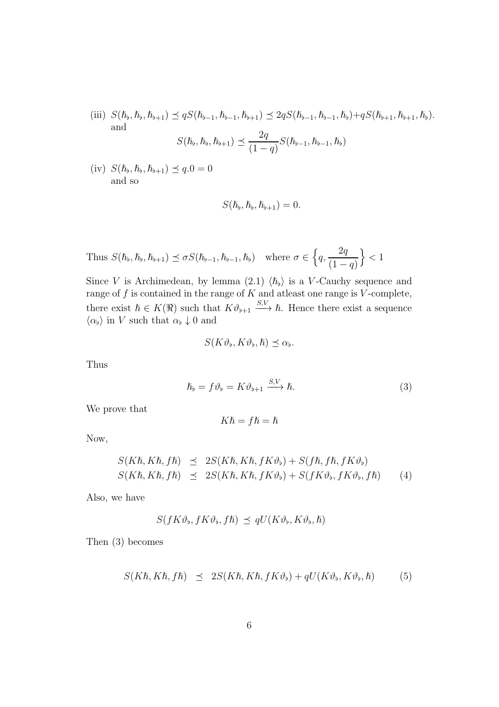(iii)  $S(\hbar_b, \hbar_b, \hbar_{b+1}) \preceq qS(\hbar_{b-1}, \hbar_{b+1}) \preceq 2qS(\hbar_{b-1}, \hbar_{b-1}, \hbar_b) + qS(\hbar_{b+1}, \hbar_{b+1}, \hbar_b).$ and  $\Omega$ 

$$
S(\hbar_{b}, \hbar_{b}, \hbar_{b+1}) \preceq \frac{2q}{(1-q)} S(\hbar_{b-1}, \hbar_{b-1}, \hbar_{b})
$$

 $(iv) S(\hbar_b, \hbar_b, \hbar_{b+1}) \preceq q.0 = 0$ and so

$$
S(\hslash_{\flat},\hslash_{\flat},\hslash_{\flat+1})=0.
$$

Thus 
$$
S(\hbar_b, \hbar_b, \hbar_{b+1}) \preceq \sigma S(\hbar_{b-1}, \hbar_{b-1}, \hbar_b)
$$
 where  $\sigma \in \left\{q, \frac{2q}{(1-q)}\right\} < 1$ 

Since V is Archimedean, by lemma (2.1)  $\langle h_{\nu} \rangle$  is a V-Cauchy sequence and range of  $f$  is contained in the range of  $K$  and atleast one range is  $V$ -complete, there exist  $\hbar \in K(\Re)$  such that  $K\vartheta_{\flat+1} \xrightarrow{S,V} \hbar$ . Hence there exist a sequence  $\langle \alpha_{\flat} \rangle$  in V such that  $\alpha_{\flat} \downarrow 0$  and

$$
S(K\vartheta_{\flat}, K\vartheta_{\flat}, \hslash) \preceq \alpha_{\flat}.
$$

Thus

$$
\hslash_{\flat} = f \vartheta_{\flat} = K \vartheta_{\flat + 1} \xrightarrow{S, V} \hslash. \tag{3}
$$

We prove that

$$
K\hslash = f\hslash = \hslash
$$

Now,

$$
S(K\hbar, K\hbar, f\hbar) \preceq 2S(K\hbar, K\hbar, fK\vartheta_{\flat}) + S(f\hbar, f\hbar, fK\vartheta_{\flat})
$$
  

$$
S(K\hbar, K\hbar, f\hbar) \preceq 2S(K\hbar, K\hbar, fK\vartheta_{\flat}) + S(fK\vartheta_{\flat}, fK\vartheta_{\flat}, f\hbar)
$$
 (4)

Also, we have

$$
S(fK\vartheta_{\flat}, fK\vartheta_{\flat}, f\hbar) \preceq qU(K\vartheta_{\flat}, K\vartheta_{\flat}, \hbar)
$$

Then (3) becomes

$$
S(K\hbar, K\hbar, f\hbar) \preceq 2S(K\hbar, K\hbar, fK\vartheta_{\flat}) + qU(K\vartheta_{\flat}, K\vartheta_{\flat}, \hbar) \tag{5}
$$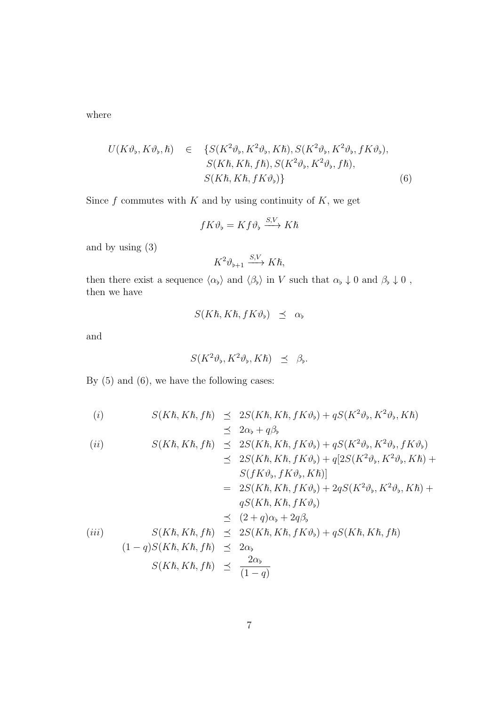where

$$
U(K\vartheta_{\flat}, K\vartheta_{\flat}, \hbar) \in \{S(K^{2}\vartheta_{\flat}, K^{2}\vartheta_{\flat}, K\hbar), S(K^{2}\vartheta_{\flat}, K^{2}\vartheta_{\flat}, fK\vartheta_{\flat}),S(K\hbar, K\hbar, f\hbar), S(K^{2}\vartheta_{\flat}, K^{2}\vartheta_{\flat}, f\hbar),S(K\hbar, K\hbar, fK\vartheta_{\flat})\}
$$
(6)

Since  $f$  commutes with  $K$  and by using continuity of  $K$ , we get

$$
fK\vartheta_{\flat} = Kf\vartheta_{\flat} \xrightarrow{S,V} K\hbar
$$

and by using (3)

$$
K^2\vartheta_{\flat+1} \xrightarrow{S,V} K\hbar,
$$

then there exist a sequence  $\langle \alpha_{\flat} \rangle$  and  $\langle \beta_{\flat} \rangle$  in V such that  $\alpha_{\flat} \downarrow 0$  and  $\beta_{\flat} \downarrow 0$ , then we have

$$
S(K\hbar, K\hbar, fK\vartheta_{\flat}) \preceq \alpha_{\flat}
$$

and

$$
S(K^2\vartheta_{\flat}, K^2\vartheta_{\flat}, K\hbar) \preceq \beta_{\flat}.
$$

By (5) and (6), we have the following cases:

(i)  
\n
$$
S(K\hbar, K\hbar, f\hbar) \preceq 2S(K\hbar, K\hbar, fK\vartheta_{\flat}) + qS(K^{2}\vartheta_{\flat}, K^{2}\vartheta_{\flat}, K\hbar)
$$
\n
$$
\preceq 2\alpha_{\flat} + q\beta_{\flat}
$$
\n(ii)  
\n
$$
S(K\hbar, K\hbar, f\hbar) \preceq 2S(K\hbar, K\hbar, fK\vartheta_{\flat}) + qS(K^{2}\vartheta_{\flat}, K^{2}\vartheta_{\flat}, fK\vartheta_{\flat})
$$
\n
$$
\preceq 2S(K\hbar, K\hbar, fK\vartheta_{\flat}) + q[2S(K^{2}\vartheta_{\flat}, K^{2}\vartheta_{\flat}, K\hbar) + S(fK\vartheta_{\flat}, fK\vartheta_{\flat}, K\hbar)]
$$
\n
$$
= 2S(K\hbar, K\hbar, fK\vartheta_{\flat}) + 2qS(K^{2}\vartheta_{\flat}, K^{2}\vartheta_{\flat}, K\hbar) + qS(K\hbar, K\hbar, fK\vartheta_{\flat})
$$
\n
$$
\preceq (2 + q)\alpha_{\flat} + 2q\beta_{\flat}
$$

$$
(iii) \quad S(K\hbar, K\hbar, f\hbar) \leq 2S(K\hbar, K\hbar, fK\vartheta_{\flat}) + qS(K\hbar, K\hbar, f\hbar)
$$
  

$$
(1-q)S(K\hbar, K\hbar, f\hbar) \leq 2\alpha_{\flat}
$$
  

$$
S(K\hbar, K\hbar, f\hbar) \leq \frac{2\alpha_{\flat}}{(1-q)}
$$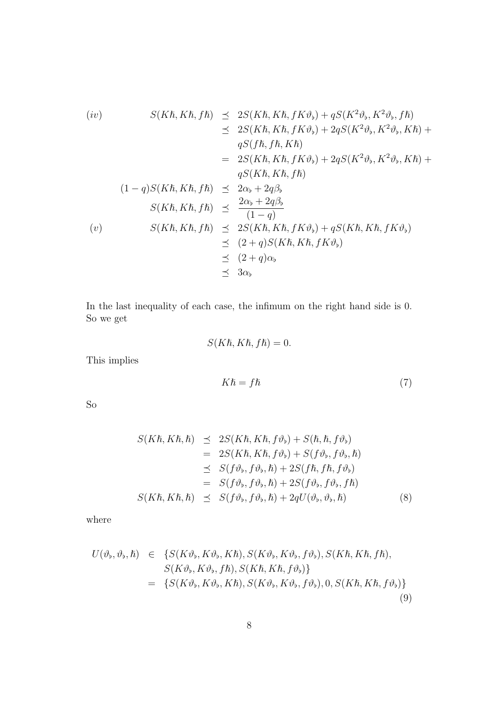$$
(iv) \quad S(K\hbar, K\hbar, f\hbar) \leq 2S(K\hbar, K\hbar, fK\vartheta_{\flat}) + qS(K^{2}\vartheta_{\flat}, K^{2}\vartheta_{\flat}, f\hbar)
$$
  
\n
$$
\leq 2S(K\hbar, K\hbar, fK\vartheta_{\flat}) + 2qS(K^{2}\vartheta_{\flat}, K^{2}\vartheta_{\flat}, K\hbar) +
$$
  
\n
$$
qS(f\hbar, f\hbar, K\hbar)
$$
  
\n
$$
= 2S(K\hbar, K\hbar, fK\vartheta_{\flat}) + 2qS(K^{2}\vartheta_{\flat}, K^{2}\vartheta_{\flat}, K\hbar) +
$$
  
\n
$$
qS(K\hbar, K\hbar, f\hbar)
$$
  
\n
$$
(1-q)S(K\hbar, K\hbar, f\hbar) \leq 2\alpha_{\flat} + 2q\beta_{\flat}
$$
  
\n
$$
S(K\hbar, K\hbar, f\hbar) \leq \frac{2\alpha_{\flat} + 2q\beta_{\flat}}{(1-q)}
$$
  
\n
$$
(v) \quad S(K\hbar, K\hbar, f\hbar) \leq 2S(K\hbar, K\hbar, fK\vartheta_{\flat}) + qS(K\hbar, K\hbar, fK\vartheta_{\flat})
$$
  
\n
$$
\leq (2+q)S(K\hbar, K\hbar, fK\vartheta_{\flat})
$$
  
\n
$$
\leq (2+q)\alpha_{\flat}
$$
  
\n
$$
\leq 3\alpha_{\flat}
$$

In the last inequality of each case, the infimum on the right hand side is 0. So we get

$$
S(K\hslash, K\hslash, f\hslash) = 0.
$$

This implies

$$
K\hbar = f\hbar \tag{7}
$$

So

$$
S(K\hbar, K\hbar, \hbar) \preceq 2S(K\hbar, K\hbar, f\vartheta_{\flat}) + S(\hbar, \hbar, f\vartheta_{\flat})
$$
  
\n
$$
= 2S(K\hbar, K\hbar, f\vartheta_{\flat}) + S(f\vartheta_{\flat}, f\vartheta_{\flat}, \hbar)
$$
  
\n
$$
\preceq S(f\vartheta_{\flat}, f\vartheta_{\flat}, \hbar) + 2S(f\hbar, f\hbar, f\vartheta_{\flat})
$$
  
\n
$$
= S(f\vartheta_{\flat}, f\vartheta_{\flat}, \hbar) + 2S(f\vartheta_{\flat}, f\vartheta_{\flat}, f\hbar)
$$
  
\n
$$
S(K\hbar, K\hbar, \hbar) \preceq S(f\vartheta_{\flat}, f\vartheta_{\flat}, \hbar) + 2qU(\vartheta_{\flat}, \vartheta_{\flat}, \hbar) \tag{8}
$$

where

$$
U(\vartheta_{\flat}, \vartheta_{\flat}, \hslash) \in \{S(K\vartheta_{\flat}, K\vartheta_{\flat}, K\hslash), S(K\vartheta_{\flat}, K\vartheta_{\flat}, f\vartheta_{\flat}), S(K\hslash, K\hslash, f\hslash),\nS(K\vartheta_{\flat}, K\vartheta_{\flat}, f\hslash), S(K\hslash, K\hslash, f\vartheta_{\flat})\}\n= \{S(K\vartheta_{\flat}, K\vartheta_{\flat}, K\hslash), S(K\vartheta_{\flat}, K\vartheta_{\flat}, f\vartheta_{\flat}), 0, S(K\hslash, K\hslash, f\vartheta_{\flat})\}\n(9)
$$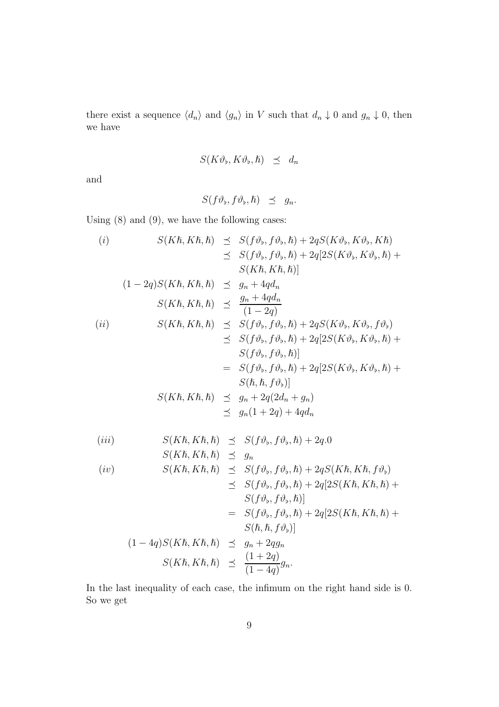there exist a sequence  $\langle d_n \rangle$  and  $\langle g_n \rangle$  in V such that  $d_n \downarrow 0$  and  $g_n \downarrow 0$ , then we have

$$
S(K\vartheta_{\flat}, K\vartheta_{\flat}, \hslash) \preceq d_n
$$

and

$$
S(f\vartheta_{\flat},f\vartheta_{\flat},\hslash)\preceq g_n.
$$

Using (8) and (9), we have the following cases:

(i)  
\n
$$
S(K\hbar, K\hbar, \hbar) \preceq S(f\vartheta_{\flat}, f\vartheta_{\flat}, \hbar) + 2qS(K\vartheta_{\flat}, K\vartheta_{\flat}, K\hbar)
$$
\n
$$
\preceq S(f\vartheta_{\flat}, f\vartheta_{\flat}, \hbar) + 2q[2S(K\vartheta_{\flat}, K\vartheta_{\flat}, \hbar) + S(K\hbar, K\hbar, \hbar)]
$$
\n(1-2q)S(K\hbar, K\hbar, \hbar) \preceq g<sub>n</sub> + 4qd<sub>n</sub>  
\n
$$
S(K\hbar, K\hbar, \hbar) \preceq \frac{g_n + 4qd_n}{(1 - 2q)}
$$
\n(ii)  
\n
$$
S(K\hbar, K\hbar, \hbar) \preceq S(f\vartheta_{\flat}, f\vartheta_{\flat}, \hbar) + 2qS(K\vartheta_{\flat}, K\vartheta_{\flat}, f\vartheta_{\flat})
$$
\n
$$
\preceq S(f\vartheta_{\flat}, f\vartheta_{\flat}, \hbar) + 2q[2S(K\vartheta_{\flat}, K\vartheta_{\flat}, \hbar) + S(f\vartheta_{\flat}, f\vartheta_{\flat}, \hbar)]
$$
\n
$$
= S(f\vartheta_{\flat}, f\vartheta_{\flat}, \hbar) + 2q[2S(K\vartheta_{\flat}, K\vartheta_{\flat}, \hbar) + S(\hbar, \hbar, f\vartheta_{\flat})]
$$
\n
$$
S(K\hbar, K\hbar, \hbar) \preceq g_n + 2q(2d_n + g_n)
$$
\n
$$
\preceq g_n(1 + 2q) + 4qd_n
$$

$$
(iii) \tS(K\hbar, K\hbar, \hbar) \preceq S(f\vartheta_{\flat}, f\vartheta_{\flat}, \hbar) + 2q.0
$$

$$
S(K\hbar, K\hbar, \hbar) \prec q_n
$$

$$
(iv) \quad S(K\hbar, K\hbar, \hbar) \quad \preceq \quad S(f\vartheta_{\flat}, f\vartheta_{\flat}, \hbar) + 2qS(K\hbar, K\hbar, f\vartheta_{\flat})
$$

$$
\leq S(f\vartheta_{\flat}, f\vartheta_{\flat}, \hbar) + 2q[2S(K\hbar, K\hbar, \hbar) + S(f\vartheta_{\flat}, f\vartheta_{\flat}, \hbar)]
$$
  
\n
$$
= S(f\vartheta_{\flat}, f\vartheta_{\flat}, \hbar) + 2q[2S(K\hbar, K\hbar, \hbar) + S(\hbar, \hbar, f\vartheta_{\flat})]
$$
  
\n
$$
(1 - 4q)S(K\hbar, K\hbar, \hbar) \leq g_n + 2qg_n
$$
  
\n
$$
S(K\hbar, K\hbar, \hbar) \leq \frac{(1 + 2q)}{(1 - 4q)}g_n.
$$

In the last inequality of each case, the infimum on the right hand side is 0. So we get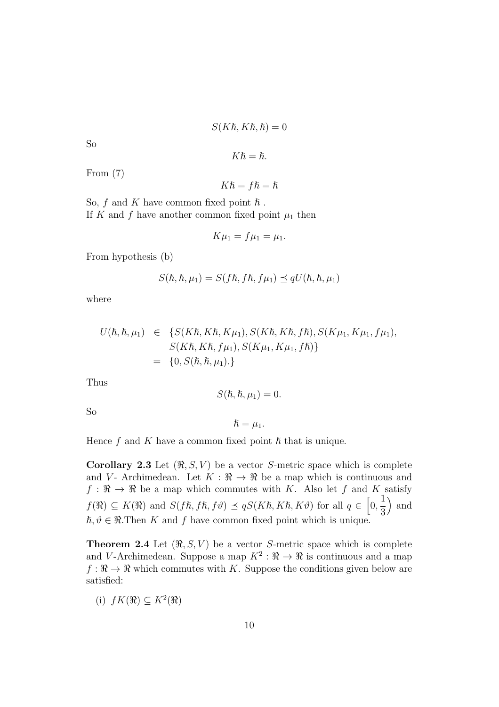$$
S(K\hbar, K\hbar, \hbar) = 0
$$

So

$$
K\hslash=\hslash.
$$

From (7)

$$
K\hslash=f\hslash=\hslash
$$

So,  $f$  and  $K$  have common fixed point  $\hbar$ . If K and f have another common fixed point  $\mu_1$  then

$$
K\mu_1 = f\mu_1 = \mu_1.
$$

From hypothesis (b)

$$
S(\hbar, \hbar, \mu_1) = S(f\hbar, f\hbar, f\mu_1) \preceq qU(\hbar, \hbar, \mu_1)
$$

where

$$
U(\hbar, \hbar, \mu_1) \in \{S(K\hbar, K\hbar, K\mu_1), S(K\hbar, K\hbar, f\hbar), S(K\mu_1, K\mu_1, f\mu_1),S(K\hbar, K\hbar, f\mu_1), S(K\mu_1, K\mu_1, f\hbar)\} = \{0, S(\hbar, \hbar, \mu_1). \}
$$

Thus

$$
S(\hbar, \hbar, \mu_1) = 0.
$$

So

$$
\hslash = \mu_1.
$$

Hence  $f$  and  $K$  have a common fixed point  $\hbar$  that is unique.

Corollary 2.3 Let  $(\Re, S, V)$  be a vector S-metric space which is complete and V - Archimedean. Let  $K : \mathbb{R} \to \mathbb{R}$  be a map which is continuous and  $f : \mathbb{R} \to \mathbb{R}$  be a map which commutes with K. Also let f and K satisfy  $f(\Re) \subseteq K(\Re)$  and  $S(fh, fh, f\vartheta) \preceq qS(K\hbar, K\hbar, K\vartheta)$  for all  $q \in [0, \frac{1}{2})$ 3 ) and  $\hbar, \vartheta \in \Re$ . Then K and f have common fixed point which is unique.

**Theorem 2.4** Let  $(\Re, S, V)$  be a vector S-metric space which is complete and V-Archimedean. Suppose a map  $K^2$ :  $\Re \to \Re$  is continuous and a map  $f : \mathbb{R} \to \mathbb{R}$  which commutes with K. Suppose the conditions given below are satisfied:

(i)  $fK(\mathfrak{R}) \subseteq K^2(\mathfrak{R})$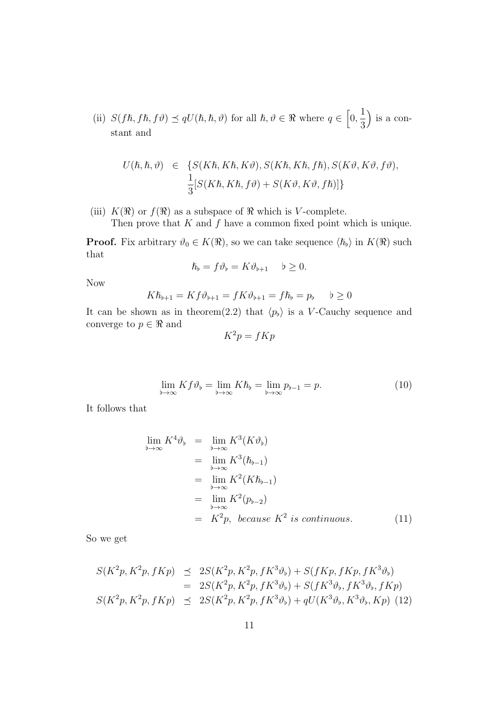(ii)  $S(f\hbar, f\hbar, f\vartheta) \preceq qU(\hbar, \hbar, \vartheta)$  for all  $\hbar, \vartheta \in \Re$  where  $q \in [0, \frac{1}{2}]$ 3 is a constant and

$$
U(\hbar, \hbar, \vartheta) \in \{ S(K\hbar, K\hbar, K\vartheta), S(K\hbar, K\hbar, f\hbar), S(K\vartheta, K\vartheta, f\vartheta),
$$
  

$$
\frac{1}{3}[S(K\hbar, K\hbar, f\vartheta) + S(K\vartheta, K\vartheta, f\hbar)] \}
$$

(iii)  $K(\mathfrak{R})$  or  $f(\mathfrak{R})$  as a subspace of  $\mathfrak{R}$  which is V-complete.

Then prove that  $K$  and  $f$  have a common fixed point which is unique.

**Proof.** Fix arbitrary  $\vartheta_0 \in K(\mathfrak{R})$ , so we can take sequence  $\langle \hbar_{\varphi} \rangle$  in  $K(\mathfrak{R})$  such that

$$
\hslash_{\flat} = f \vartheta_{\flat} = K \vartheta_{\flat + 1} \quad \flat \geq 0.
$$

Now

$$
K\hbar_{b+1} = Kf\vartheta_{b+1} = fK\vartheta_{b+1} = f\hbar_b = p_b \qquad b \ge 0
$$

It can be shown as in theorem(2.2) that  $\langle p_{\flat} \rangle$  is a V-Cauchy sequence and converge to  $p\in\Re$  and

$$
K^2p = fKp
$$

$$
\lim_{b \to \infty} K f \vartheta_b = \lim_{b \to \infty} K \hbar_b = \lim_{b \to \infty} p_{b-1} = p. \tag{10}
$$

It follows that

$$
\lim_{b \to \infty} K^4 \vartheta_b = \lim_{b \to \infty} K^3(K \vartheta_b)
$$
\n
$$
= \lim_{b \to \infty} K^3(\hbar_{b-1})
$$
\n
$$
= \lim_{b \to \infty} K^2(K\hbar_{b-1})
$$
\n
$$
= \lim_{b \to \infty} K^2(p_{b-2})
$$
\n
$$
= K^2 p, because K^2 is continuous. (11)
$$

So we get

$$
S(K^{2}p, K^{2}p, fKp) \preceq 2S(K^{2}p, K^{2}p, fK^{3}\vartheta_{b}) + S(fKp, fKp, fK^{3}\vartheta_{b})
$$
  
=  $2S(K^{2}p, K^{2}p, fK^{3}\vartheta_{b}) + S(fK^{3}\vartheta_{b}, fK^{3}\vartheta_{b}, fKp)$   
 $S(K^{2}p, K^{2}p, fKp) \preceq 2S(K^{2}p, K^{2}p, fK^{3}\vartheta_{b}) + qU(K^{3}\vartheta_{b}, K^{3}\vartheta_{b}, Kp)$  (12)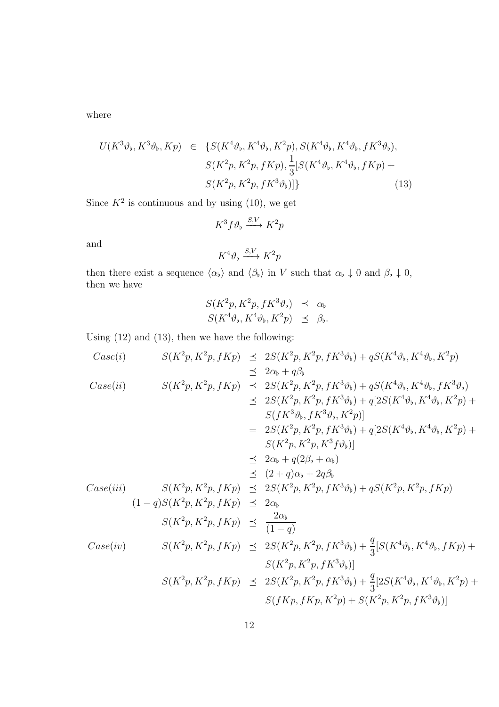where

$$
U(K^{3}\vartheta_{\flat}, K^{3}\vartheta_{\flat}, Kp) \in \{S(K^{4}\vartheta_{\flat}, K^{4}\vartheta_{\flat}, K^{2}p), S(K^{4}\vartheta_{\flat}, K^{4}\vartheta_{\flat}, fK^{3}\vartheta_{\flat}),S(K^{2}p, K^{2}p, fKp), \frac{1}{3}[S(K^{4}\vartheta_{\flat}, K^{4}\vartheta_{\flat}, fKp) +S(K^{2}p, K^{2}p, fK^{3}\vartheta_{\flat})]\}
$$
(13)

Since  $K^2$  is continuous and by using (10), we get

$$
K^3 f \vartheta_{\flat} \xrightarrow{S,V} K^2 p
$$
  

$$
K^4 \vartheta_{\flat} \xrightarrow{S,V} K^2 p
$$

and

then there exist a sequence  $\langle \alpha_{\flat} \rangle$  and  $\langle \beta_{\flat} \rangle$  in V such that  $\alpha_{\flat} \downarrow 0$  and  $\beta_{\flat} \downarrow 0$ , then we have

$$
S(K^{2}p, K^{2}p, fK^{3}\vartheta_{\flat}) \preceq \alpha_{\flat}
$$
  

$$
S(K^{4}\vartheta_{\flat}, K^{4}\vartheta_{\flat}, K^{2}p) \preceq \beta_{\flat}.
$$

Using (12) and (13), then we have the following:

Case(i) 
$$
S(K^{2}p, K^{2}p, fKp) \leq 2S(K^{2}p, K^{2}p, fK^{3}\vartheta_{b}) + qS(K^{4}\vartheta_{b}, K^{4}\vartheta_{b}, K^{2}p)
$$
  
\n $\leq 2\alpha_{b} + q\beta_{b}$   
\n $S(K^{2}p, K^{2}p, fKp) \leq 2S(K^{2}p, K^{2}p, fK^{3}\vartheta_{b}) + qS(K^{4}\vartheta_{b}, K^{4}\vartheta_{b}, fK^{3}\vartheta_{b})$   
\n $\leq 2S(K^{2}p, K^{2}p, fK^{3}\vartheta_{b}) + q[2S(K^{4}\vartheta_{b}, K^{4}\vartheta_{b}, K^{2}p) + S(fK^{3}\vartheta_{b}, fK^{3}\vartheta_{b}, K^{2}p)]$   
\n $= 2S(K^{2}p, K^{2}p, fK^{3}\vartheta_{b}) + q[2S(K^{4}\vartheta_{b}, K^{4}\vartheta_{b}, K^{2}p) + S(K^{2}p, K^{2}p, fK^{3}\vartheta_{b})] + q[2S(K^{4}\vartheta_{b}, K^{4}\vartheta_{b}, K^{2}p) + S(K^{2}p, K^{2}p, fK^{3}\vartheta_{b})]$   
\n $\leq 2\alpha_{b} + q(2\beta_{b} + \alpha_{b})$   
\n $S(K^{2}p, K^{2}p, fKp) \leq 2S(K^{2}p, K^{2}p, fK^{3}\vartheta_{b}) + qS(K^{2}p, K^{2}p, fKp)$   
\n $(1-q)S(K^{2}p, K^{2}p, fKp) \leq 2\alpha_{b}$   
\n $S(K^{2}p, K^{2}p, fKp) \leq \frac{2\alpha_{b}}{(1-q)}$   
\n $Case(iv)$   $S(K^{2}p, K^{2}p, fKp) \leq 2S(K^{2}p, K^{2}p, fK^{3}\vartheta_{b}) + \frac{q}{3}[S(K^{4}\vartheta_{b}, K^{4}\vartheta_{b}, fKp) + S(K^{2}p, fK^{2}p, fK^{3}\vartheta_{b})]$   
\n $S(K^{2}p, K^{2}p, fKp) \leq 2S(K^{2}p, K^{2}p, fK^{3}\$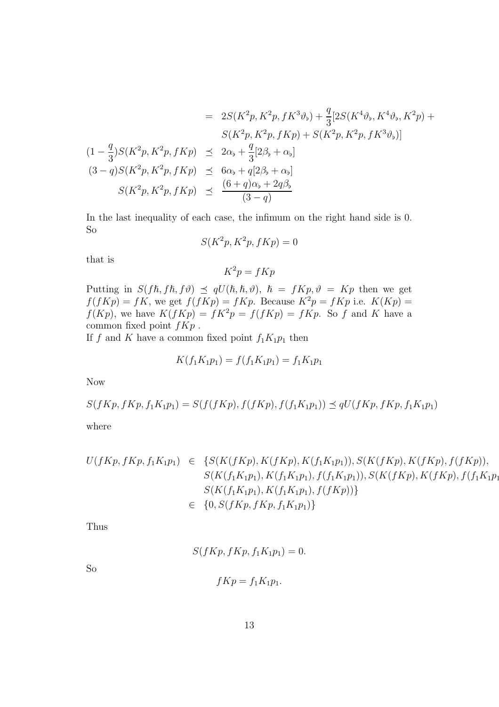$$
= 2S(K^{2}p, K^{2}p, fK^{3}\vartheta_{b}) + \frac{q}{3}[2S(K^{4}\vartheta_{b}, K^{4}\vartheta_{b}, K^{2}p) + S(K^{2}p, K^{2}p, fKp) + S(K^{2}p, fK^{3}\vartheta_{b})]
$$
  
\n
$$
(1 - \frac{q}{3})S(K^{2}p, K^{2}p, fKp) \le 2\alpha_{b} + \frac{q}{3}[2\beta_{b} + \alpha_{b}]
$$
  
\n
$$
(3 - q)S(K^{2}p, K^{2}p, fKp) \le 6\alpha_{b} + q[2\beta_{b} + \alpha_{b}]
$$
  
\n
$$
S(K^{2}p, K^{2}p, fKp) \le \frac{(6 + q)\alpha_{b} + 2q\beta_{b}}{(3 - q)}
$$

In the last inequality of each case, the infimum on the right hand side is 0. So

$$
S(K^2p, K^2p, fKp) = 0
$$

that is

 $K^2p = fKp$ 

Putting in  $S(f\hslash, f\hslash, f\vartheta) \preceq qU(\hslash, \hslash, \vartheta)$ ,  $\hslash = fKp, \vartheta = Kp$  then we get  $f(fKp) = fK$ , we get  $f(fKp) = fKp$ . Because  $K^2p = fKp$  i.e.  $K(Kp) =$  $f(Kp)$ , we have  $K(fKp) = fK^2p = f(fKp) = fKp$ . So f and K have a common fixed point  $fKp$ .

If f and K have a common fixed point  $f_1K_1p_1$  then

$$
K(f_1K_1p_1) = f(f_1K_1p_1) = f_1K_1p_1
$$

Now

$$
S(fKp, fKp, f_1K_1p_1) = S(f(fKp), f(fKp), f(f_1K_1p_1)) \le qU(fKp, fKp, f_1K_1p_1)
$$

where

$$
U(fKp, fKp, f_1K_1p_1) \in \{S(K(fKp), K(fKp), K(f_1K_1p_1)), S(K(fKp), K(fKp), f(fKp)),\nS(K(f_1K_1p_1), K(f_1K_1p_1), f(f_1K_1p_1)), S(K(fKp), K(fKp), f(f_1K_1p_1),\nS(K(f_1K_1p_1), K(f_1K_1p_1), f(fKp))\}\n\in \{0, S(fKp, fKp, f_1K_1p_1)\}
$$

Thus

$$
S(fKp, fKp, f_1K_1p_1) = 0.
$$
  

$$
fKp = f_1K_1p_1.
$$

So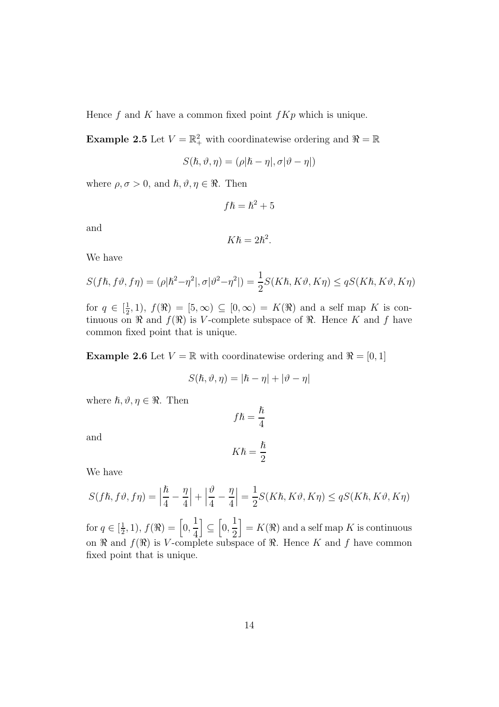Hence f and K have a common fixed point  $fKp$  which is unique.

**Example 2.5** Let  $V = \mathbb{R}^2_+$  with coordinatewise ordering and  $\mathbb{R} = \mathbb{R}$ 

$$
S(\hbar,\vartheta,\eta)=(\rho|\hbar-\eta|,\sigma|\vartheta-\eta|)
$$

where  $\rho, \sigma > 0$ , and  $\hbar, \vartheta, \eta \in \Re$ . Then

$$
f\hbar=\hbar^2+5
$$

and

$$
K\hslash=2\hslash^2.
$$

We have

$$
S(f\hbar, f\vartheta, f\eta) = (\rho|\hbar^2 - \eta^2|, \sigma|\vartheta^2 - \eta^2|) = \frac{1}{2}S(K\hbar, K\vartheta, K\eta) \le qS(K\hbar, K\vartheta, K\eta)
$$

for  $q \in \left[\frac{1}{2}\right]$  $(\frac{1}{2},1)$ ,  $f(\Re) = [5,\infty) \subseteq [0,\infty) = K(\Re)$  and a self map K is continuous on  $\Re$  and  $f(\Re)$  is V-complete subspace of  $\Re$ . Hence K and f have common fixed point that is unique.

**Example 2.6** Let  $V = \mathbb{R}$  with coordinatewise ordering and  $\mathbb{R} = [0, 1]$ 

$$
S(\hbar, \vartheta, \eta) = |\hbar - \eta| + |\vartheta - \eta|
$$

 $\hbar$ 

where  $\hbar, \vartheta, \eta \in \Re$ . Then

and

$$
K\hbar = \frac{\hbar}{2}
$$

 $f\hslash =$ 

We have

$$
S(f\hbar,f\vartheta,f\eta)=\Big|\frac{\hbar}{4}-\frac{\eta}{4}\Big|+\Big|\frac{\vartheta}{4}-\frac{\eta}{4}\Big|=\frac{1}{2}S(K\hbar,K\vartheta,K\eta)\leq qS(K\hbar,K\vartheta,K\eta)
$$

for  $q \in \left[\frac{1}{2}\right]$  $(\frac{1}{2}, 1), f(\Re) = \left[0, \frac{1}{4}\right]$ 4  $\Big] \subseteq \Big[0, \frac{1}{2}\Big]$ 2  $\big] = K(\Re)$  and a self map K is continuous on  $\Re$  and  $f(\Re)$  is V-complete subspace of  $\Re$ . Hence K and f have common fixed point that is unique.